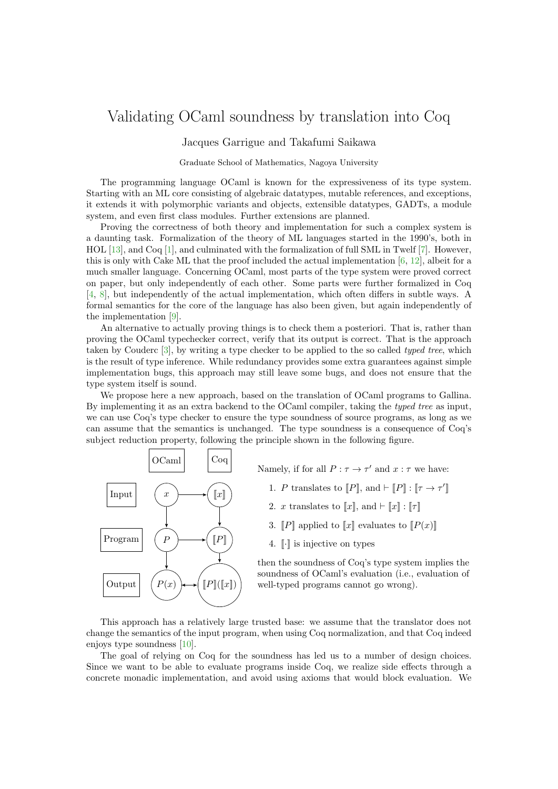## Validating OCaml soundness by translation into Coq

Jacques Garrigue and Takafumi Saikawa

Graduate School of Mathematics, Nagoya University

The programming language OCaml is known for the expressiveness of its type system. Starting with an ML core consisting of algebraic datatypes, mutable references, and exceptions, it extends it with polymorphic variants and objects, extensible datatypes, GADTs, a module system, and even first class modules. Further extensions are planned.

Proving the correctness of both theory and implementation for such a complex system is a daunting task. Formalization of the theory of ML languages started in the 1990's, both in HOL [\[13\]](#page-2-0), and Coq [\[1\]](#page-2-1), and culminated with the formalization of full SML in Twelf [\[7\]](#page-2-2). However, this is only with Cake ML that the proof included the actual implementation [\[6,](#page-2-3) [12\]](#page-2-4), albeit for a much smaller language. Concerning OCaml, most parts of the type system were proved correct on paper, but only independently of each other. Some parts were further formalized in Coq [\[4,](#page-2-5) [8\]](#page-2-6), but independently of the actual implementation, which often differs in subtle ways. A formal semantics for the core of the language has also been given, but again independently of the implementation [\[9\]](#page-2-7).

An alternative to actually proving things is to check them a posteriori. That is, rather than proving the OCaml typechecker correct, verify that its output is correct. That is the approach taken by Couderc [\[3\]](#page-2-8), by writing a type checker to be applied to the so called typed tree, which is the result of type inference. While redundancy provides some extra guarantees against simple implementation bugs, this approach may still leave some bugs, and does not ensure that the type system itself is sound.

We propose here a new approach, based on the translation of OCaml programs to Gallina. By implementing it as an extra backend to the OCaml compiler, taking the typed tree as input, we can use Coq's type checker to ensure the type soundness of source programs, as long as we can assume that the semantics is unchanged. The type soundness is a consequence of Coq's subject reduction property, following the principle shown in the following figure.



Namely, if for all  $P : \tau \to \tau'$  and  $x : \tau$  we have:

- 1. P translates to  $[[P]],$  and  $\vdash [[P]] : [[\tau \to \tau']$
- 2. x translates to  $\llbracket x \rrbracket$ , and  $\vdash \llbracket x \rrbracket : \llbracket \tau \rrbracket$
- 3.  $\llbracket P \rrbracket$  applied to  $\llbracket x \rrbracket$  evaluates to  $\llbracket P(x) \rrbracket$
- 4.  $\lbrack \cdot \rbrack$  is injective on types

then the soundness of Coq's type system implies the soundness of OCaml's evaluation (i.e., evaluation of well-typed programs cannot go wrong).

This approach has a relatively large trusted base: we assume that the translator does not change the semantics of the input program, when using Coq normalization, and that Coq indeed enjoys type soundness [\[10\]](#page-2-9).

The goal of relying on Coq for the soundness has led us to a number of design choices. Since we want to be able to evaluate programs inside Coq, we realize side effects through a concrete monadic implementation, and avoid using axioms that would block evaluation. We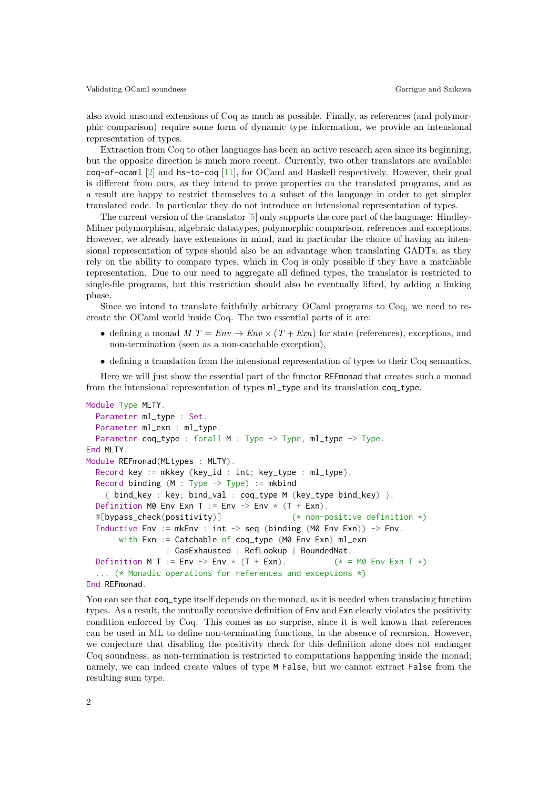also avoid unsound extensions of Coq as much as possible. Finally, as references (and polymorphic comparison) require some form of dynamic type information, we provide an intensional representation of types.

Extraction from Coq to other languages has been an active research area since its beginning, but the opposite direction is much more recent. Currently, two other translators are available: coq-of-ocaml [\[2\]](#page-2-10) and hs-to-coq [\[11\]](#page-2-11), for OCaml and Haskell respectively. However, their goal is different from ours, as they intend to prove properties on the translated programs, and as a result are happy to restrict themselves to a subset of the language in order to get simpler translated code. In particular they do not introduce an intensional representation of types.

The current version of the translator [\[5\]](#page-2-12) only supports the core part of the language: Hindley-Milner polymorphism, algebraic datatypes, polymorphic comparison, references and exceptions. However, we already have extensions in mind, and in particular the choice of having an intensional representation of types should also be an advantage when translating GADTs, as they rely on the ability to compare types, which in Coq is only possible if they have a matchable representation. Due to our need to aggregate all defined types, the translator is restricted to single-file programs, but this restriction should also be eventually lifted, by adding a linking phase.

Since we intend to translate faithfully arbitrary OCaml programs to Coq, we need to recreate the OCaml world inside Coq. The two essential parts of it are:

- defining a monad  $M T = Env \rightarrow Env \times (T + Exn)$  for state (references), exceptions, and non-termination (seen as a non-catchable exception),
- defining a translation from the intensional representation of types to their Coq semantics.

Here we will just show the essential part of the functor REFmonad that creates such a monad from the intensional representation of types ml\_type and its translation coq\_type.

```
Module Type MLTY.
  Parameter ml_type : Set.
  Parameter ml_exn : ml_type.
  Parameter coq_type : forall M : Type -> Type, ml_type -> Type.
End MLTY.
Module REFmonad(MLtypes : MLTY).
  Record key := mkkey {key_id : int; key_type : ml_type}.
  Record binding (M : Type \rightarrow Type) := mkbind{ bind_key : key; bind_val : coq_type M (key_type bind_key) }.
  Definition M0 Env Exn T := Env -> Env \times (T + Exn).
  #[bypass_check(positivity)] (* non-positive definition *)
  Inductive Env := mkEnv : int \rightarrow seq (binding (M0 Env Exn)) \rightarrow Env.
       with Exn := Catchable of cog_type (M0 Env Exn) ml_exn
                 | GasExhausted | RefLookup | BoundedNat.
  Definition M T := Env -> Env * (T + Exn). (*) = M0 Env Exn T *)
  ... (* Monadic operations for references and exceptions *)
End REFmonad.
```
You can see that coq\_type itself depends on the monad, as it is needed when translating function types. As a result, the mutually recursive definition of Env and Exn clearly violates the positivity condition enforced by Coq. This comes as no surprise, since it is well known that references can be used in ML to define non-terminating functions, in the absence of recursion. However, we conjecture that disabling the positivity check for this definition alone does not endanger Coq soundness, as non-termination is restricted to computations happening inside the monad; namely, we can indeed create values of type M False, but we cannot extract False from the resulting sum type.